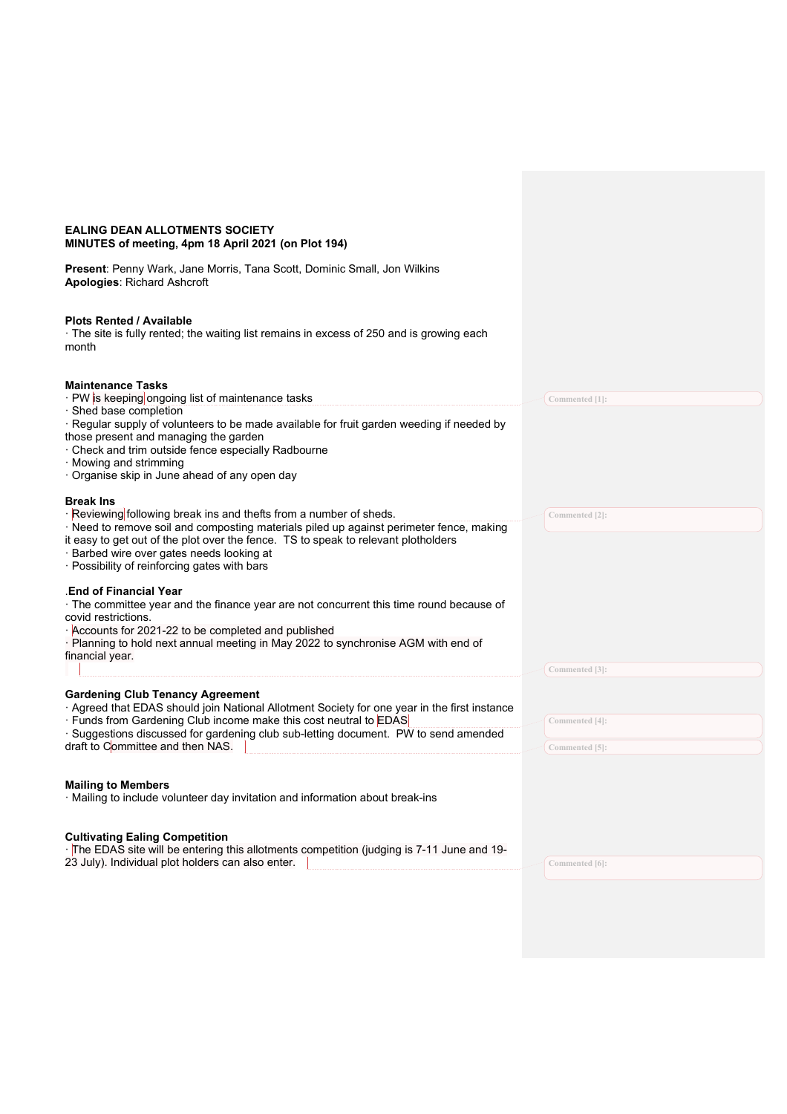| <b>EALING DEAN ALLOTMENTS SOCIETY</b><br>MINUTES of meeting, 4pm 18 April 2021 (on Plot 194)                                                                                                                                                                                                                                                 |                |
|----------------------------------------------------------------------------------------------------------------------------------------------------------------------------------------------------------------------------------------------------------------------------------------------------------------------------------------------|----------------|
| Present: Penny Wark, Jane Morris, Tana Scott, Dominic Small, Jon Wilkins<br><b>Apologies: Richard Ashcroft</b>                                                                                                                                                                                                                               |                |
| <b>Plots Rented / Available</b><br>· The site is fully rented; the waiting list remains in excess of 250 and is growing each<br>month                                                                                                                                                                                                        |                |
| <b>Maintenance Tasks</b><br>· PW is keeping ongoing list of maintenance tasks                                                                                                                                                                                                                                                                | Commented [1]: |
| Shed base completion<br>Regular supply of volunteers to be made available for fruit garden weeding if needed by<br>those present and managing the garden<br>Check and trim outside fence especially Radbourne<br>Mowing and strimming                                                                                                        |                |
| Organise skip in June ahead of any open day<br><b>Break Ins</b>                                                                                                                                                                                                                                                                              |                |
| · Reviewing following break ins and thefts from a number of sheds.<br>· Need to remove soil and composting materials piled up against perimeter fence, making<br>it easy to get out of the plot over the fence. TS to speak to relevant plotholders<br>Barbed wire over gates needs looking at<br>Possibility of reinforcing gates with bars | Commented [2]: |
| <b>End of Financial Year</b><br>The committee year and the finance year are not concurrent this time round because of<br>covid restrictions.<br>Accounts for 2021-22 to be completed and published<br>Planning to hold next annual meeting in May 2022 to synchronise AGM with end of                                                        |                |
| financial year.                                                                                                                                                                                                                                                                                                                              | Commented [3]: |
| <b>Gardening Club Tenancy Agreement</b><br>Agreed that EDAS should join National Allotment Society for one year in the first instance                                                                                                                                                                                                        |                |
| Funds from Gardening Club income make this cost neutral to EDAS<br>Suggestions discussed for gardening club sub-letting document. PW to send amended                                                                                                                                                                                         | Commented [4]: |
| draft to Committee and then NAS.                                                                                                                                                                                                                                                                                                             | Commented [5]: |
| <b>Mailing to Members</b><br>· Mailing to include volunteer day invitation and information about break-ins                                                                                                                                                                                                                                   |                |
| <b>Cultivating Ealing Competition</b><br>-The EDAS site will be entering this allotments competition (judging is 7-11 June and 19-<br>23 July). Individual plot holders can also enter.                                                                                                                                                      | Commented [6]: |
|                                                                                                                                                                                                                                                                                                                                              |                |